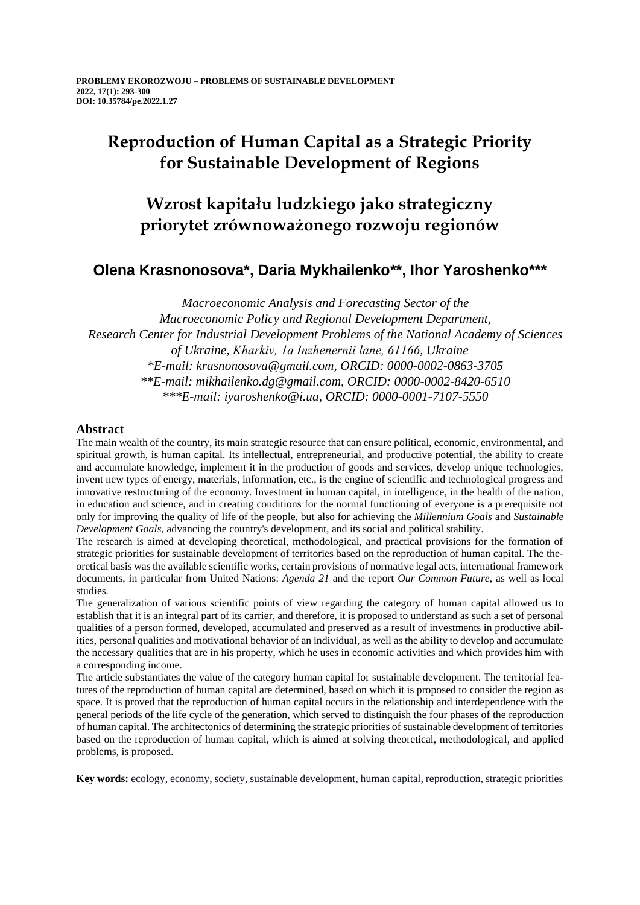# **Reproduction of Human Capital as a Strategic Priority for Sustainable Development of Regions**

# **Wzrost kapitału ludzkiego jako strategiczny priorytet zrównoważonego rozwoju regionów**

### **Olena Krasnonosova\*, Daria Mykhailenko\*\*, Ihor Yaroshenko\*\*\***

*Macroeconomic Analysis and Forecasting Sector of the Macroeconomic Policy and Regional Development Department, Research Center for Industrial Development Problems of the National Academy of Sciences of Ukraine, Kharkiv, 1а Inzhenernii lane, 61166, Ukraine \*E-mail: krasnonosova@gmail.com, ORCID: 0000-0002-0863-3705 \*\*E-mail: mikhailenko.dg@gmail.com, ORCID: 0000-0002-8420-6510 \*\*\*E-mail: iyaroshenko@i.ua, ORCID: 0000-0001-7107-5550*

### **Abstract**

The main wealth of the country, its main strategic resource that can ensure political, economic, environmental, and spiritual growth, is human capital. Its intellectual, entrepreneurial, and productive potential, the ability to create and accumulate knowledge, implement it in the production of goods and services, develop unique technologies, invent new types of energy, materials, information, etc., is the engine of scientific and technological progress and innovative restructuring of the economy. Investment in human capital, in intelligence, in the health of the nation, in education and science, and in creating conditions for the normal functioning of everyone is a prerequisite not only for improving the quality of life of the people, but also for achieving the *Millennium Goals* and *Sustainable Development Goals*, advancing the country's development, and its social and political stability.

The research is aimed at developing theoretical, methodological, and practical provisions for the formation of strategic priorities for sustainable development of territories based on the reproduction of human capital. The theoretical basis was the available scientific works, certain provisions of normative legal acts, international framework documents, in particular from United Nations: *Agenda 21* and the report *Our Common Future,* as well as local studies*.*

The generalization of various scientific points of view regarding the category of human capital allowed us to establish that it is an integral part of its carrier, and therefore, it is proposed to understand as such a set of personal qualities of a person formed, developed, accumulated and preserved as a result of investments in productive abilities, personal qualities and motivational behavior of an individual, as well as the ability to develop and accumulate the necessary qualities that are in his property, which he uses in economic activities and which provides him with a corresponding income.

The article substantiates the value of the category human capital for sustainable development. The territorial features of the reproduction of human capital are determined, based on which it is proposed to consider the region as space. It is proved that the reproduction of human capital occurs in the relationship and interdependence with the general periods of the life cycle of the generation, which served to distinguish the four phases of the reproduction of human capital. The architectonics of determining the strategic priorities of sustainable development of territories based on the reproduction of human capital, which is aimed at solving theoretical, methodological, and applied problems, is proposed.

**Key words:** ecology, economy, society, sustainable development, human capital, reproduction, strategic priorities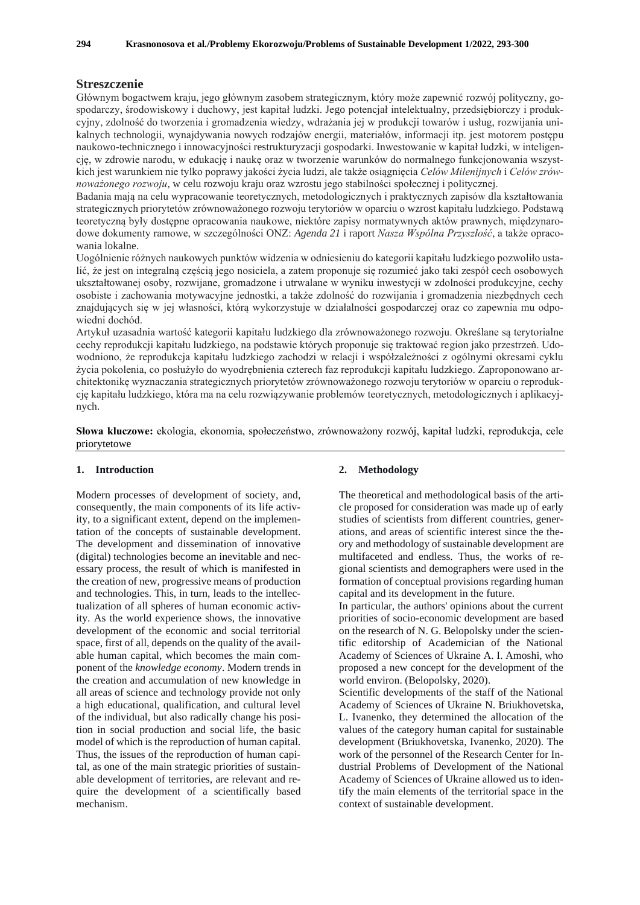#### **Streszczenie**

Głównym bogactwem kraju, jego głównym zasobem strategicznym, który może zapewnić rozwój polityczny, gospodarczy, środowiskowy i duchowy, jest kapitał ludzki. Jego potencjał intelektualny, przedsiębiorczy i produkcyjny, zdolność do tworzenia i gromadzenia wiedzy, wdrażania jej w produkcji towarów i usług, rozwijania unikalnych technologii, wynajdywania nowych rodzajów energii, materiałów, informacji itp. jest motorem postępu naukowo-technicznego i innowacyjności restrukturyzacji gospodarki. Inwestowanie w kapitał ludzki, w inteligencję, w zdrowie narodu, w edukację i naukę oraz w tworzenie warunków do normalnego funkcjonowania wszystkich jest warunkiem nie tylko poprawy jakości życia ludzi, ale także osiągnięcia *Celów Milenijnych* i *Celów zrównoważonego rozwoju*, w celu rozwoju kraju oraz wzrostu jego stabilności społecznej i politycznej.

Badania mają na celu wypracowanie teoretycznych, metodologicznych i praktycznych zapisów dla kształtowania strategicznych priorytetów zrównoważonego rozwoju terytoriów w oparciu o wzrost kapitału ludzkiego. Podstawą teoretyczną były dostępne opracowania naukowe, niektóre zapisy normatywnych aktów prawnych, międzynarodowe dokumenty ramowe, w szczególności ONZ: *Agenda 21* i raport *Nasza Wspólna Przyszłość*, a także opracowania lokalne.

Uogólnienie różnych naukowych punktów widzenia w odniesieniu do kategorii kapitału ludzkiego pozwoliło ustalić, że jest on integralną częścią jego nosiciela, a zatem proponuje się rozumieć jako taki zespół cech osobowych ukształtowanej osoby, rozwijane, gromadzone i utrwalane w wyniku inwestycji w zdolności produkcyjne, cechy osobiste i zachowania motywacyjne jednostki, a także zdolność do rozwijania i gromadzenia niezbędnych cech znajdujących się w jej własności, którą wykorzystuje w działalności gospodarczej oraz co zapewnia mu odpowiedni dochód.

Artykuł uzasadnia wartość kategorii kapitału ludzkiego dla zrównoważonego rozwoju. Określane są terytorialne cechy reprodukcji kapitału ludzkiego, na podstawie których proponuje się traktować region jako przestrzeń. Udowodniono, że reprodukcja kapitału ludzkiego zachodzi w relacji i współzależności z ogólnymi okresami cyklu życia pokolenia, co posłużyło do wyodrębnienia czterech faz reprodukcji kapitału ludzkiego. Zaproponowano architektonikę wyznaczania strategicznych priorytetów zrównoważonego rozwoju terytoriów w oparciu o reprodukcję kapitału ludzkiego, która ma na celu rozwiązywanie problemów teoretycznych, metodologicznych i aplikacyjnych.

**Słowa kluczowe:** ekologia, ekonomia, społeczeństwo, zrównoważony rozwój, kapitał ludzki, reprodukcja, cele priorytetowe

#### **1. Introduction**

Modern processes of development of society, and, consequently, the main components of its life activity, to a significant extent, depend on the implementation of the concepts of sustainable development. The development and dissemination of innovative (digital) technologies become an inevitable and necessary process, the result of which is manifested in the creation of new, progressive means of production and technologies. This, in turn, leads to the intellectualization of all spheres of human economic activity. As the world experience shows, the innovative development of the economic and social territorial space, first of all, depends on the quality of the available human capital, which becomes the main component of the *knowledge economy*. Modern trends in the creation and accumulation of new knowledge in all areas of science and technology provide not only a high educational, qualification, and cultural level of the individual, but also radically change his position in social production and social life, the basic model of which is the reproduction of human capital. Thus, the issues of the reproduction of human capital, as one of the main strategic priorities of sustainable development of territories, are relevant and require the development of a scientifically based mechanism.

#### **2. Methodology**

The theoretical and methodological basis of the article proposed for consideration was made up of early studies of scientists from different countries, generations, and areas of scientific interest since the theory and methodology of sustainable development are multifaceted and endless. Thus, the works of regional scientists and demographers were used in the formation of conceptual provisions regarding human capital and its development in the future.

In particular, the authors' opinions about the current priorities of socio-economic development are based on the research of N. G. Belopolsky under the scientific editorship of Academician of the National Academy of Sciences of Ukraine A. I. Amoshi, who proposed a new concept for the development of the world environ. (Belopolsky, 2020).

Scientific developments of the staff of the National Academy of Sciences of Ukraine N. Briukhovetska, L. Ivanenko, they determined the allocation of the values of the category human capital for sustainable development (Briukhovetska, Ivanenko, 2020). The work of the personnel of the Research Center for Industrial Problems of Development of the National Academy of Sciences of Ukraine allowed us to identify the main elements of the territorial space in the context of sustainable development.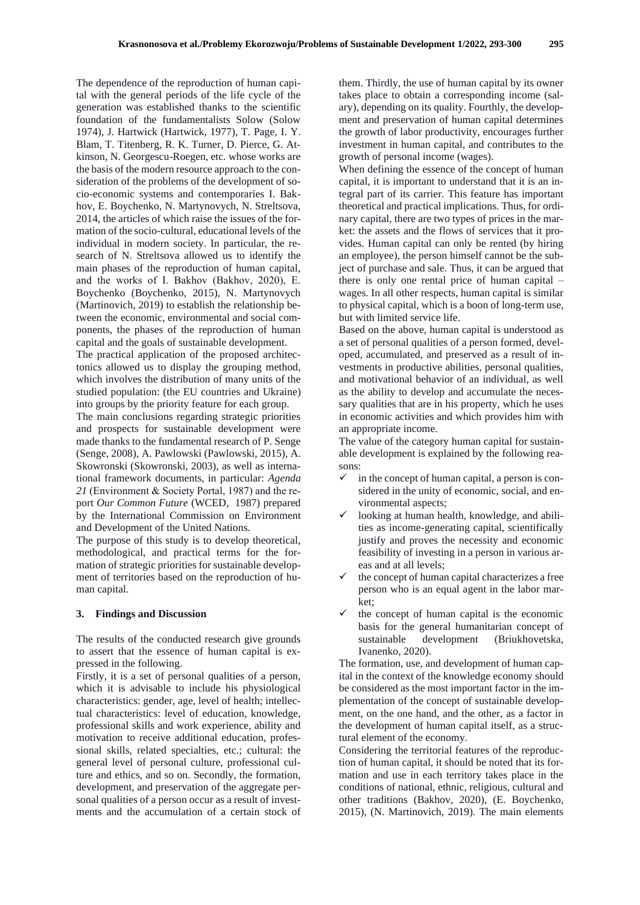The dependence of the reproduction of human capital with the general periods of the life cycle of the generation was established thanks to the scientific foundation of the fundamentalists Solow (Solow 1974), J. Hartwick (Hartwick, 1977), T. Page, I. Y. Blam, T. Titenberg, R. K. Turner, D. Pierce, G. Atkinson, N. Georgescu-Roegen, etc. whose works are the basis of the modern resource approach to the consideration of the problems of the development of socio-economic systems and contemporaries I. Bakhov, Е. Boychenko, N. Martynovych, N. Streltsova, 2014, the articles of which raise the issues of the formation of the socio-cultural, educational levels of the individual in modern society. In particular, the research of N. Streltsova allowed us to identify the main phases of the reproduction of human capital, and the works of I. Bakhov (Bakhov, 2020), Е. Boychenko (Boychenko, 2015), N. Martynovych (Martinovich, 2019) to establish the relationship between the economic, environmental and social components, the phases of the reproduction of human capital and the goals of sustainable development.

The practical application of the proposed architectonics allowed us to display the grouping method, which involves the distribution of many units of the studied population: (the EU countries and Ukraine) into groups by the priority feature for each group.

The main conclusions regarding strategic priorities and prospects for sustainable development were made thanks to the fundamental research of P. Senge (Senge, 2008), A. Pawlowski (Pawlowski, 2015), A. Skowronski (Skowronski, 2003), as well as international framework documents, in particular: *Agenda 21* (Еnvironment & Society Portal, 1987) and the report *Our Common Future* (WCED, 1987) prepared by the International Commission on Environment and Development of the United Nations.

The purpose of this study is to develop theoretical, methodological, and practical terms for the formation of strategic priorities for sustainable development of territories based on the reproduction of human capital.

#### **3. Findings and Discussion**

The results of the conducted research give grounds to assert that the essence of human capital is expressed in the following.

Firstly, it is a set of personal qualities of a person, which it is advisable to include his physiological characteristics: gender, age, level of health; intellectual characteristics: level of education, knowledge, professional skills and work experience, ability and motivation to receive additional education, professional skills, related specialties, etc.; cultural: the general level of personal culture, professional culture and ethics, and so on. Secondly, the formation, development, and preservation of the aggregate personal qualities of a person occur as a result of investments and the accumulation of a certain stock of

them. Thirdly, the use of human capital by its owner takes place to obtain a corresponding income (salary), depending on its quality. Fourthly, the development and preservation of human capital determines the growth of labor productivity, encourages further investment in human capital, and contributes to the growth of personal income (wages).

When defining the essence of the concept of human capital, it is important to understand that it is an integral part of its carrier. This feature has important theoretical and practical implications. Thus, for ordinary capital, there are two types of prices in the market: the assets and the flows of services that it provides. Human capital can only be rented (by hiring an employee), the person himself cannot be the subject of purchase and sale. Thus, it can be argued that there is only one rental price of human capital – wages. In all other respects, human capital is similar to physical capital, which is a boon of long-term use, but with limited service life.

Based on the above, human capital is understood as a set of personal qualities of a person formed, developed, accumulated, and preserved as a result of investments in productive abilities, personal qualities, and motivational behavior of an individual, as well as the ability to develop and accumulate the necessary qualities that are in his property, which he uses in economic activities and which provides him with an appropriate income.

The value of the category human capital for sustainable development is explained by the following reasons:

- $\checkmark$  in the concept of human capital, a person is considered in the unity of economic, social, and environmental aspects;
- looking at human health, knowledge, and abilities as income-generating capital, scientifically justify and proves the necessity and economic feasibility of investing in a person in various areas and at all levels;
- the concept of human capital characterizes a free person who is an equal agent in the labor market;
- ✓ the concept of human capital is the economic basis for the general humanitarian concept of sustainable development (Briukhovetska, Ivanenko, 2020).

The formation, use, and development of human capital in the context of the knowledge economy should be considered as the most important factor in the implementation of the concept of sustainable development, on the one hand, and the other, as a factor in the development of human capital itself, as a structural element of the economy.

Considering the territorial features of the reproduction of human capital, it should be noted that its formation and use in each territory takes place in the conditions of national, ethnic, religious, cultural and other traditions (Bakhov, 2020), (E. Boychenko, 2015), (N. Martinovich, 2019). The main elements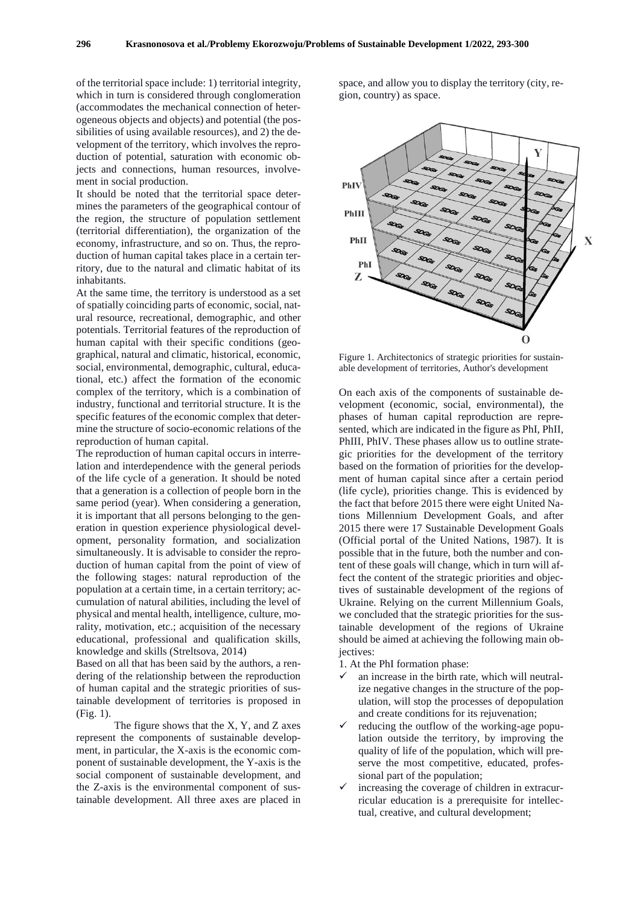of the territorial space include: 1) territorial integrity, which in turn is considered through conglomeration (accommodates the mechanical connection of heterogeneous objects and objects) and potential (the possibilities of using available resources), and 2) the development of the territory, which involves the reproduction of potential, saturation with economic objects and connections, human resources, involvement in social production.

It should be noted that the territorial space determines the parameters of the geographical contour of the region, the structure of population settlement (territorial differentiation), the organization of the economy, infrastructure, and so on. Thus, the reproduction of human capital takes place in a certain territory, due to the natural and climatic habitat of its inhabitants.

At the same time, the territory is understood as a set of spatially coinciding parts of economic, social, natural resource, recreational, demographic, and other potentials. Territorial features of the reproduction of human capital with their specific conditions (geographical, natural and climatic, historical, economic, social, environmental, demographic, cultural, educational, etc.) affect the formation of the economic complex of the territory, which is a combination of industry, functional and territorial structure. It is the specific features of the economic complex that determine the structure of socio-economic relations of the reproduction of human capital.

The reproduction of human capital occurs in interrelation and interdependence with the general periods of the life cycle of a generation. It should be noted that a generation is a collection of people born in the same period (year). When considering a generation, it is important that all persons belonging to the generation in question experience physiological development, personality formation, and socialization simultaneously. It is advisable to consider the reproduction of human capital from the point of view of the following stages: natural reproduction of the population at a certain time, in a certain territory; accumulation of natural abilities, including the level of physical and mental health, intelligence, culture, morality, motivation, etc.; acquisition of the necessary educational, professional and qualification skills, knowledge and skills (Streltsova, 2014)

Based on all that has been said by the authors, a rendering of the relationship between the reproduction of human capital and the strategic priorities of sustainable development of territories is proposed in (Fig. 1).

The figure shows that the X, Y, and Z axes represent the components of sustainable development, in particular, the X-axis is the economic component of sustainable development, the Y-axis is the social component of sustainable development, and the Z-axis is the environmental component of sustainable development. All three axes are placed in

space, and allow you to display the territory (city, region, country) as space.



Figure 1. Architectonics of strategic priorities for sustainable development of territories, Author's development

On each axis of the components of sustainable development (economic, social, environmental), the phases of human capital reproduction are represented, which are indicated in the figure as PhI, PhII, PhIII, PhIV. These phases allow us to outline strategic priorities for the development of the territory based on the formation of priorities for the development of human capital since after a certain period (life cycle), priorities change. This is evidenced by the fact that before 2015 there were eight United Nations Millennium Development Goals, and after 2015 there were 17 Sustainable Development Goals (Official portal of the United Nations, 1987). It is possible that in the future, both the number and content of these goals will change, which in turn will affect the content of the strategic priorities and objectives of sustainable development of the regions of Ukraine. Relying on the current Millennium Goals, we concluded that the strategic priorities for the sustainable development of the regions of Ukraine should be aimed at achieving the following main obiectives:

1. At the PhI formation phase:

- an increase in the birth rate, which will neutralize negative changes in the structure of the population, will stop the processes of depopulation and create conditions for its rejuvenation;
- $\checkmark$  reducing the outflow of the working-age population outside the territory, by improving the quality of life of the population, which will preserve the most competitive, educated, professional part of the population;
- increasing the coverage of children in extracurricular education is a prerequisite for intellectual, creative, and cultural development;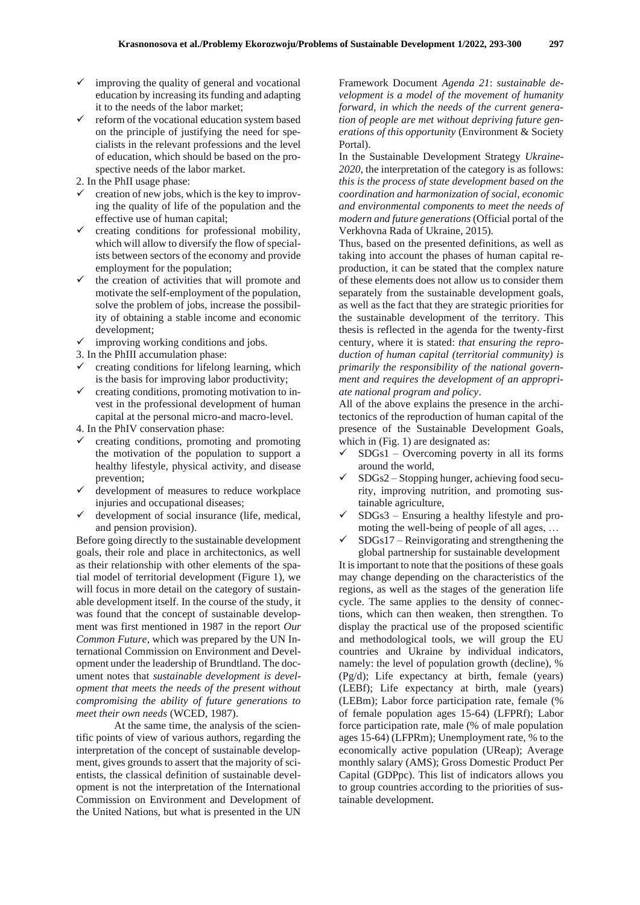- improving the quality of general and vocational education by increasing its funding and adapting it to the needs of the labor market;
- reform of the vocational education system based on the principle of justifying the need for specialists in the relevant professions and the level of education, which should be based on the prospective needs of the labor market.
- 2. In the PhII usage phase:
- creation of new jobs, which is the key to improving the quality of life of the population and the effective use of human capital;
- creating conditions for professional mobility, which will allow to diversify the flow of specialists between sectors of the economy and provide employment for the population;
- the creation of activities that will promote and motivate the self-employment of the population, solve the problem of jobs, increase the possibility of obtaining a stable income and economic development;
- $\checkmark$  improving working conditions and jobs.
- 3. In the PhIII accumulation phase:
- $\checkmark$  creating conditions for lifelong learning, which is the basis for improving labor productivity;
- $\checkmark$  creating conditions, promoting motivation to invest in the professional development of human capital at the personal micro-and macro-level.
- 4. In the PhIV conservation phase:
- ✓ creating conditions, promoting and promoting the motivation of the population to support a healthy lifestyle, physical activity, and disease prevention;
- ✓ development of measures to reduce workplace injuries and occupational diseases;
- development of social insurance (life, medical, and pension provision).

Before going directly to the sustainable development goals, their role and place in architectonics, as well as their relationship with other elements of the spatial model of territorial development (Figure 1), we will focus in more detail on the category of sustainable development itself. In the course of the study, it was found that the concept of sustainable development was first mentioned in 1987 in the report *Our Common Future*, which was prepared by the UN International Commission on Environment and Development under the leadership of Brundtland. The document notes that *sustainable development is development that meets the needs of the present without compromising the ability of future generations to meet their own needs* (WCED, 1987).

At the same time, the analysis of the scientific points of view of various authors, regarding the interpretation of the concept of sustainable development, gives grounds to assert that the majority of scientists, the classical definition of sustainable development is not the interpretation of the International Commission on Environment and Development of the United Nations, but what is presented in the UN

Framework Document *Agenda 21*: *sustainable development is a model of the movement of humanity forward, in which the needs of the current generation of people are met without depriving future generations of this opportunity* (Еnvironment & Society Portal).

In the Sustainable Development Strategy *Ukraine-2020*, the interpretation of the category is as follows: *this is the process of state development based on the coordination and harmonization of social, economic and environmental components to meet the needs of modern and future generations* (Official portal of the Verkhovna Rada of Ukraine, 2015).

Thus, based on the presented definitions, as well as taking into account the phases of human capital reproduction, it can be stated that the complex nature of these elements does not allow us to consider them separately from the sustainable development goals, as well as the fact that they are strategic priorities for the sustainable development of the territory. This thesis is reflected in the agenda for the twenty-first century, where it is stated: *that ensuring the reproduction of human capital (territorial community) is primarily the responsibility of the national government and requires the development of an appropriate national program and policy*.

All of the above explains the presence in the architectonics of the reproduction of human capital of the presence of the Sustainable Development Goals, which in (Fig. 1) are designated as:

- $SDGs1 Overcoming powerty in all its forms$ around the world,
- SDGs2 Stopping hunger, achieving food security, improving nutrition, and promoting sustainable agriculture,
- $SDGs3 Ensuring$  a healthy lifestyle and promoting the well-being of people of all ages, …
- $SDGs17 Reinvigorating and strengthening the$ global partnership for sustainable development

It is important to note that the positions of these goals may change depending on the characteristics of the regions, as well as the stages of the generation life cycle. The same applies to the density of connections, which can then weaken, then strengthen. To display the practical use of the proposed scientific and methodological tools, we will group the EU countries and Ukraine by individual indicators, namely: the level of population growth (decline), % (Pg/d); Life expectancy at birth, female (years) (LEBf); Life expectancy at birth, male (years) (LEBm); Labor force participation rate, female (% of female population ages 15-64) (LFPRf); Labor force participation rate, male (% of male population ages 15-64) (LFPRm); Unemployment rate, % to the economically active population (UReap); Average monthly salary (AMS); Gross Domestic Product Per Capital (GDPpc). This list of indicators allows you to group countries according to the priorities of sustainable development.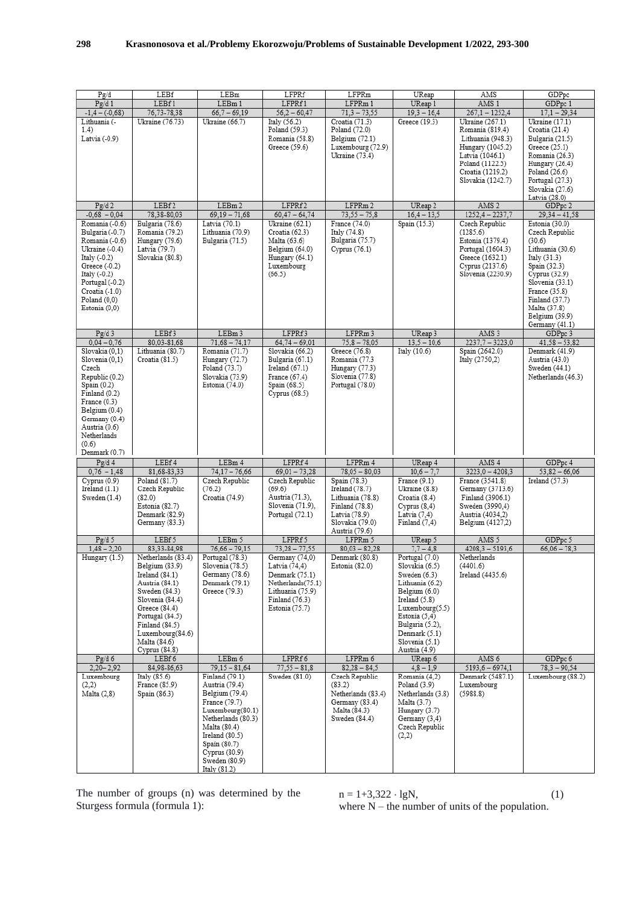| Pg/d                               | LEBf                               | LEBm                               | LFPRf                              | LFPRm                                | UReap                            | AMS                                   | GDPpc                                      |
|------------------------------------|------------------------------------|------------------------------------|------------------------------------|--------------------------------------|----------------------------------|---------------------------------------|--------------------------------------------|
| Pg/d1                              | LEBf1                              | LEBm 1                             | LFPRf1                             | LFPRm 1                              | UReap 1                          | AMS 1                                 | GDPpc 1                                    |
| $-1,4-(-0,68)$                     | 76,73-78,38                        | $66,7 - 69,19$                     | $56,2 - 60,47$                     | $71,3 - 73,55$                       | $19,3 - 16,4$                    | $267,1 - 1252,4$                      | $17,1 - 29,34$                             |
| Lithuania (-                       | Ukraine (76.73)                    | Ukraine (66,7)                     | Italy (56.2)                       | Croatia (71.3)                       | Greece (19.3)                    | Ukraine (267.1)                       | $\overline{\text{U} \text{kraine}}$ (17.1) |
| 1.4)                               |                                    |                                    | Poland (59.3)                      | Poland (72.0)                        |                                  | Romania (819.4)                       | Croatia (21.4)                             |
| Latvia (-0.9)                      |                                    |                                    | Romania (58.8)<br>Greece (59.6)    | Belgium (72.1)<br>Luxembourg (72.9)  |                                  | Lithuania (948.3)<br>Hungary (1045.2) | Bulgaria (21.5)<br>Greece (25.1)           |
|                                    |                                    |                                    |                                    | Ukraine (73.4)                       |                                  | Latvia (1046.1)                       | Romania (26.3)                             |
|                                    |                                    |                                    |                                    |                                      |                                  | Poland (1122.5)                       | Hungary (26.4)                             |
|                                    |                                    |                                    |                                    |                                      |                                  | Croatia (1219.2)                      | Poland (26.6)                              |
|                                    |                                    |                                    |                                    |                                      |                                  | Slovakia (1242.7)                     | Portugal (27.3)                            |
|                                    |                                    |                                    |                                    |                                      |                                  |                                       | Slovakia (27.6)                            |
|                                    | LEBf <sub>2</sub>                  |                                    |                                    |                                      |                                  |                                       | Latvia (28.0)                              |
| Pg/d2<br>$-0.68 - 0.04$            | 78,38-80,03                        | LEBm 2<br>$69,19 - 71,68$          | LFPRf2<br>$60,47 - 64,74$          | LFPRm 2<br>$73,55 - 75,8$            | UReap 2<br>$16,4 - 13,5$         | AMS <sub>2</sub><br>$1252,4 - 2237,7$ | GDPpc 2<br>$29,34 - 41,58$                 |
| Romania (-0.6)                     | Bulgaria (78.6)                    | Latvia (70.1)                      | Ukraine (62.1)                     | France (74.0)                        | Spain (15.3)                     | Czech Republic                        | Estonia (30.0)                             |
| Bulgaria (-0.7)                    | Romania (79.2)                     | Lithuania (70.9)                   | Croatia (62.3)                     | Italy (74.8)                         |                                  | (1285.6)                              | Czech Republic                             |
| Romania (-0.6)                     | Hungary (79.6)                     | Bulgaria (71.5)                    | Malta (63.6)                       | Bulgaria (75.7)                      |                                  | Estonia (1379.4)                      | (30.6)                                     |
| Ukraine (-0.4)                     | Latvia (79.7)                      |                                    | Belgium (64.0)                     | Cyprus (76.1)                        |                                  | Portugal (1604.3)                     | Lithuania (30.6)                           |
| Italy (-0.2)                       | Slovakia (80.8)                    |                                    | Hungary (64.1)                     |                                      |                                  | Greece (1632.1)                       | Italy (31.3)                               |
| Greece (-0.2)                      |                                    |                                    | Luxembourg                         |                                      |                                  | Cyprus (2137.6)                       | Spain (32.3)                               |
| Italy (-0.2)                       |                                    |                                    | (66.5)                             |                                      |                                  | Slovenia (2230.9)                     | Cyprus (32.9)                              |
| Portugal (-0.2)<br>Croatia (-1.0)  |                                    |                                    |                                    |                                      |                                  |                                       | Slovenia (33.1)<br>France (35.8)           |
| Poland(0,0)                        |                                    |                                    |                                    |                                      |                                  |                                       | Finland (37.7)                             |
| Estonia (0,0)                      |                                    |                                    |                                    |                                      |                                  |                                       | Malta (37.8)                               |
|                                    |                                    |                                    |                                    |                                      |                                  |                                       | Belgium (39.9)                             |
|                                    |                                    |                                    |                                    |                                      |                                  |                                       | Germany (41.1)                             |
| Pg/d3                              | LEBf3                              | LEBm 3                             | LFPRf3                             | LFPRm 3                              | UReap 3                          | AMS <sub>3</sub>                      | GDPpc 3                                    |
| $0,04 - 0,76$<br>Slovakia (0,1)    | 80,03-81,68                        | $71,68 - 74,17$<br>Romania (71.7)  | $64,74 - 69,01$<br>Slovakia (66.2) | $75,8 - 78,05$<br>Greece (76.8)      | $13,5 - 10,6$                    | $2237,7 - 3223,0$                     | $41,58 - 53,82$                            |
| Slovenia (0.1)                     | Lithuania (80.7)<br>Croatia (81.5) | Hungary (72.7)                     | Bulgaria (67.1)                    | Romania (77.3                        | Italy (10.6)                     | Spain (2642.0)<br>Italy (2750,2)      | Denmark (41.9)<br>Austria (43.0)           |
| Czech                              |                                    | Poland (73.7)                      | Ireland (67.1)                     | Hungary (77.3)                       |                                  |                                       | Sweden (44.1)                              |
| Republic (0.2)                     |                                    | Slovakia (73.9)                    | France (67.4)                      | Slovenia (77.8)                      |                                  |                                       | Netherlands (46.3)                         |
| Spain (0.2)                        |                                    | Estonia (74.0)                     | Spain (68.5)                       | Portugal (78.0)                      |                                  |                                       |                                            |
| Finland (0.2)                      |                                    |                                    | Cyprus (68.5)                      |                                      |                                  |                                       |                                            |
| France (0.3)                       |                                    |                                    |                                    |                                      |                                  |                                       |                                            |
| Belgium (0.4)                      |                                    |                                    |                                    |                                      |                                  |                                       |                                            |
| Germany (0.4)<br>Austria (0.6)     |                                    |                                    |                                    |                                      |                                  |                                       |                                            |
| Netherlands                        |                                    |                                    |                                    |                                      |                                  |                                       |                                            |
| (0.6)                              |                                    |                                    |                                    |                                      |                                  |                                       |                                            |
| Denmark (0.7)                      |                                    |                                    |                                    |                                      |                                  |                                       |                                            |
| Pg/d4                              | LEBf4                              | LEBm 4                             | LFPRf 4                            | LFPRm 4                              | UReap 4                          | AMS 4                                 | GDPpc 4                                    |
| $0,76 - 1,48$                      | 81,68-83,33                        | $74,17 - 76,66$                    | $69,01 - 73,28$                    | $78,05 - 80,03$                      | $10,6 - 7,7$                     | $3223,0 - 4208,3$                     | $53,82 - 66,06$                            |
| Cyprus(0.9)                        | Poland (81.7)                      | Czech Republic                     | Czech Republic                     | Spain (78.3)                         | France (9.1)                     | France (3541.8)                       | Ireland $(57.3)$                           |
| $I$ reland $(1.1)$<br>Sweden (1.4) | Czech Republic<br>(82.0)           | (76.2)<br>Croatia (74.9)           | (69.6)<br>Austria (71.3),          | Ireland (78.7)<br>Lithuania (78.8)   | Ukraine (8.8)<br>Croatia (8.4)   | Germany (3713.6)<br>Finland (3906.1)  |                                            |
|                                    | Estonia (82.7)                     |                                    | Slovenia (71.9),                   | Finland (78.8)                       | Cvprus(8,4)                      | Sweden (3990,4)                       |                                            |
|                                    | Denmark (82.9)                     |                                    | Portugal (72.1)                    | Latvia (78.9)                        | Latvia $(7,4)$                   | Austria (4034,2)                      |                                            |
|                                    | Germany (83.3)                     |                                    |                                    | Slovakia (79.0)                      | Finland $(7,4)$                  | Belgium (4127,2)                      |                                            |
|                                    |                                    |                                    |                                    | Austria (79.6)                       |                                  |                                       |                                            |
| Pg/d 5                             | LEBf5                              | LEBm 5                             | LFPRf5                             | LFPRm 5                              | UReap 5                          | AMS 5                                 | GDPpc 5                                    |
| $1.48 - 2.20$<br>Hungary (1.5)     | 83,33-84,98<br>Netherlands (83.4)  | $76,66 - 79,15$<br>Portugal (78.3) | $73,28 - 77,55$<br>Germany (74,0)  | $80,03 - 82,28$<br>Denmark (80.8)    | $7.7 - 4.8$<br>Portugal (7.0)    | $4208,3 - 5193,6$<br>Netherlands      | $66,06 - 78,3$                             |
|                                    | Belgium (83.9)                     | Slovenia (78.5)                    | Latvia (74,4)                      | Estonia (82.0)                       | Slovakia (6.5)                   | (4401.6)                              |                                            |
|                                    | $I$ reland $(84.1)$                | Germany (78.6)                     | Denmark (75.1)                     |                                      | Sweden (6.3)                     | Ireland (4435.6)                      |                                            |
|                                    | Austria (84.1)                     | Denmark (79.1)                     | Netherlands(75.1)                  |                                      | Lithuania (6.2)                  |                                       |                                            |
|                                    | Sweden (84.3)                      | Greece (79.3)                      | Lithuania (75.9)                   |                                      | Belgium (6.0)                    |                                       |                                            |
|                                    | Slovenia (84.4)                    |                                    | Finland (76.3)                     |                                      | $I$ reland $(5.8)$               |                                       |                                            |
|                                    | Greece (84.4)                      |                                    | Estonia (75.7)                     |                                      | Luxembourg(5.5)                  |                                       |                                            |
|                                    | Portugal (84.5)                    |                                    |                                    |                                      | Estonia (5,4)                    |                                       |                                            |
|                                    | Finland (84.5)<br>Luxembourg(84.6) |                                    |                                    |                                      | Bulgaria (5.2),<br>Denmark (5.1) |                                       |                                            |
|                                    | Malta (84.6)                       |                                    |                                    |                                      | Slovenia (5.1)                   |                                       |                                            |
|                                    | Cyprus(84.8)                       |                                    |                                    |                                      | Austria (4.9)                    |                                       |                                            |
| Pg/d6                              | LEBf6                              | LEBm 6                             | LFPRf 6                            | LFPRm 6                              | UReap 6                          | AMS 6                                 | GDPpc 6                                    |
| $2,20 - 2,92$                      | 84,98-86,63                        | 79,15 - 81,64                      | $77,55 - 81,8$                     | $82,28 - 84,5$                       | $4,8 - 1,9$                      | $5193,6 - 6974,1$                     | $78,3 - 90,54$                             |
| Luxembourg                         | Italy $(85.6)$                     | Finland (79.1)                     | Sweden (81.0)                      | Czech Republic                       | Romania (4,2)                    | Denmark (5487.1)                      | Luxembourg (88.2)                          |
| (2,2)                              | France (85.9)                      | Austria (79.4)                     |                                    | (83.2)                               | Poland (3.9)                     | Luxembourg                            |                                            |
| Malta (2,8)                        | Spain (86.3)                       | Belgium (79.4)<br>France (79.7)    |                                    | Netherlands (83.4)<br>Germany (83.4) | Netherlands (3.8)<br>Malta (3.7) | (5988.8)                              |                                            |
|                                    |                                    | Luxembourg(80.1)                   |                                    | Malta (84.3)                         | Hungary (3.7)                    |                                       |                                            |
|                                    |                                    | Netherlands (80.3)                 |                                    | Sweden (84.4)                        | Germany (3,4)                    |                                       |                                            |
|                                    |                                    | Malta (80.4)                       |                                    |                                      | Czech Republic                   |                                       |                                            |
|                                    |                                    | $I$ reland $(80.5)$                |                                    |                                      | (2,2)                            |                                       |                                            |
|                                    |                                    | Spain (80.7)                       |                                    |                                      |                                  |                                       |                                            |
|                                    |                                    | Cyprus (80.9)                      |                                    |                                      |                                  |                                       |                                            |
|                                    |                                    | Sweden (80.9)                      |                                    |                                      |                                  |                                       |                                            |
|                                    |                                    | Italy $(81.2)$                     |                                    |                                      |                                  |                                       |                                            |

The number of groups (n) was determined by the Sturgess formula (formula 1):

 $n = 1+3,322 \cdot lgN,$  (1) where  $N$  – the number of units of the population.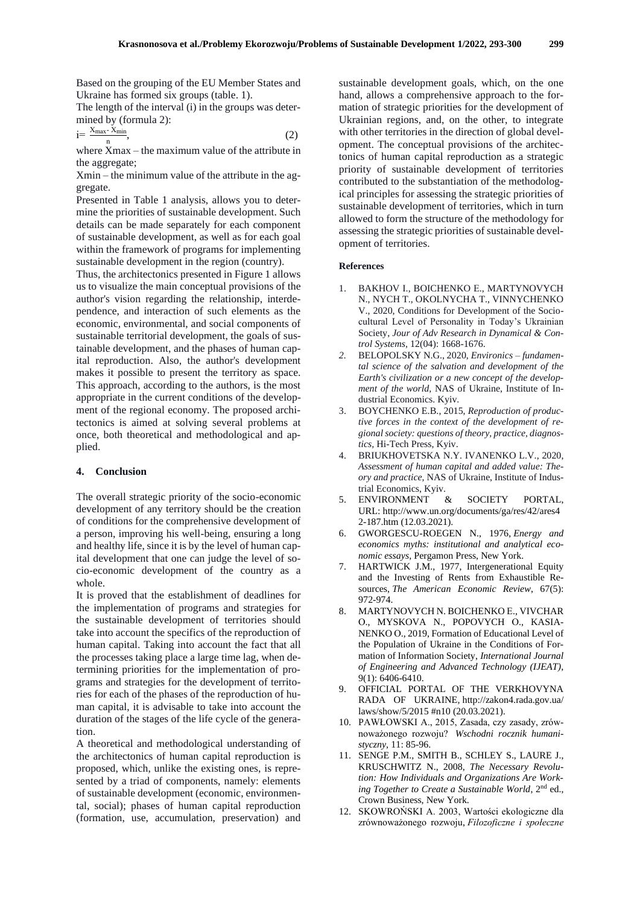Based on the grouping of the EU Member States and Ukraine has formed six groups (table. 1).

The length of the interval (i) in the groups was determined by (formula 2):

$$
i = \frac{X_{\text{max}} \cdot X_{\text{min}}}{n},\tag{2}
$$

where Xmax – the maximum value of the attribute in the aggregate;

Xmin – the minimum value of the attribute in the aggregate.

Presented in Table 1 analysis, allows you to determine the priorities of sustainable development. Such details can be made separately for each component of sustainable development, as well as for each goal within the framework of programs for implementing sustainable development in the region (country).

Thus, the architectonics presented in Figure 1 allows us to visualize the main conceptual provisions of the author's vision regarding the relationship, interdependence, and interaction of such elements as the economic, environmental, and social components of sustainable territorial development, the goals of sustainable development, and the phases of human capital reproduction. Also, the author's development makes it possible to present the territory as space. This approach, according to the authors, is the most appropriate in the current conditions of the development of the regional economy. The proposed architectonics is aimed at solving several problems at once, both theoretical and methodological and applied.

#### **4. Conclusion**

The overall strategic priority of the socio-economic development of any territory should be the creation of conditions for the comprehensive development of a person, improving his well-being, ensuring a long and healthy life, since it is by the level of human capital development that one can judge the level of socio-economic development of the country as a whole.

It is proved that the establishment of deadlines for the implementation of programs and strategies for the sustainable development of territories should take into account the specifics of the reproduction of human capital. Taking into account the fact that all the processes taking place a large time lag, when determining priorities for the implementation of programs and strategies for the development of territories for each of the phases of the reproduction of human capital, it is advisable to take into account the duration of the stages of the life cycle of the generation.

A theoretical and methodological understanding of the architectonics of human capital reproduction is proposed, which, unlike the existing ones, is represented by a triad of components, namely: elements of sustainable development (economic, environmental, social); phases of human capital reproduction (formation, use, accumulation, preservation) and sustainable development goals, which, on the one hand, allows a comprehensive approach to the formation of strategic priorities for the development of Ukrainian regions, and, on the other, to integrate with other territories in the direction of global development. The conceptual provisions of the architectonics of human capital reproduction as a strategic priority of sustainable development of territories contributed to the substantiation of the methodological principles for assessing the strategic priorities of sustainable development of territories, which in turn allowed to form the structure of the methodology for assessing the strategic priorities of sustainable development of territories.

#### **References**

- 1. BAKHOV I., BOICHENKO Е., MARTYNOVYCH N., NYCH T., OKOLNYCHA T., VINNYCHENKO V., 2020, Conditions for Development of the Sociocultural Level of Personality in Today's Ukrainian Society, *Jour of Adv Research in Dynamical & Control Systems,* 12(04): 1668-1676.
- *2.* BELOPOLSKY N.G., 2020, *Environics – fundamental science of the salvation and development of the Earth's civilization or a new concept of the development of the world,* NAS of Ukraine, Institute of Industrial Economics. Kyiv.
- 3. BOYCHENKO E.B., 2015, *Reproduction of productive forces in the context of the development of regional society: questions of theory, practice, diagnostics,* Hi-Tech Press, Kyiv.
- 4. BRIUKHOVETSKA N.Y. IVANENKO L.V., 2020, *Assessment of human capital and added value: Theory and practice*, NAS of Ukraine, Institute of Industrial Economics, Kyiv.
- 5. ЕNVIRONMENT & SOCIETY PORTAL, URL: http://www.un.org/documents/ga/res/42/ares4 2-187.htm (12.03.2021).
- 6. GWORGESCU-ROEGEN N., 1976, *Energy and economics myths: institutional and analytical economic essays,* Pergamon Press, New York.
- 7. HARTWICK J.M., 1977, Intergenerational Equity and the Investing of Rents from Exhaustible Resources, *The American Economic Review*, 67(5): 972-974.
- 8. MARTYNOVYCH N. BOICHENKO Е., VIVCHAR О., MYSKOVA N., POPOVYCH О., KASIA-NENKO О., 2019, Formation of Educational Level of the Population of Ukraine in the Conditions of Formation of Information Society, *International Journal of Engineering and Advanced Technology (IJEAT)*, 9(1): 6406-6410.
- 9. OFFICIAL PORTAL OF THE VERKHOVYNA RADA OF UKRAINE*,* http://zakon4.rada.gov.ua/ laws/show/5/2015 #n10 (20.03.2021).
- 10. PAWŁOWSKI А., 2015, Zasada, czy zasady, zrównoważonego rozwoju? *Wschodni rocznik humanistyczny,* 11: 85-96.
- 11. SENGE P.M., SMITH B., SCHLEY S., LAURE J., KRUSCHWITZ N., 2008, *The Necessary Revolution: How Individuals and Organizations Are Working Together to Create a Sustainable World*, 2nd ed., Crown Business, New York.
- 12. SKOWROŃSKI A. 2003, Wartości ekologiczne dla zrównoważonego rozwoju, *Filozoficzne i społeczne*